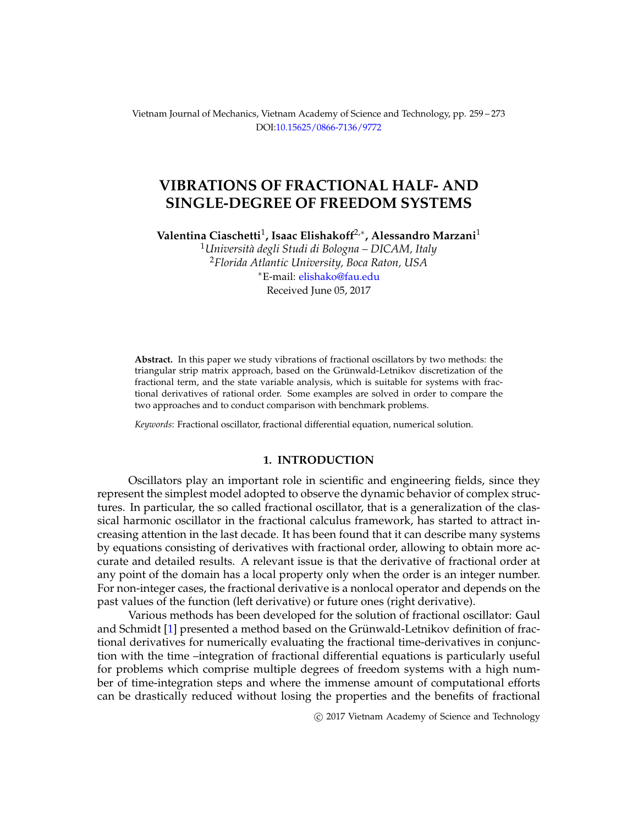Vietnam Journal of Mechanics, Vietnam Academy of Science and Technology, pp. 259 – 273 DOI[:10.15625/0866-7136/9772](http://dx.doi.org/10.15625/0866-7136/9772)

# **VIBRATIONS OF FRACTIONAL HALF- AND SINGLE-DEGREE OF FREEDOM SYSTEMS**

**Valentina Ciaschetti**<sup>1</sup> **, Isaac Elishakoff**2,<sup>∗</sup> **, Alessandro Marzani**<sup>1</sup>

<sup>1</sup>*Universit`a degli Studi di Bologna – DICAM, Italy* <sup>2</sup>*Florida Atlantic University, Boca Raton, USA* <sup>∗</sup>E-mail: [elishako@fau.edu](mailto: elishako@fau.edu) Received June 05, 2017

**Abstract.** In this paper we study vibrations of fractional oscillators by two methods: the triangular strip matrix approach, based on the Grünwald-Letnikov discretization of the fractional term, and the state variable analysis, which is suitable for systems with fractional derivatives of rational order. Some examples are solved in order to compare the two approaches and to conduct comparison with benchmark problems.

*Keywords*: Fractional oscillator, fractional differential equation, numerical solution.

#### **1. INTRODUCTION**

Oscillators play an important role in scientific and engineering fields, since they represent the simplest model adopted to observe the dynamic behavior of complex structures. In particular, the so called fractional oscillator, that is a generalization of the classical harmonic oscillator in the fractional calculus framework, has started to attract increasing attention in the last decade. It has been found that it can describe many systems by equations consisting of derivatives with fractional order, allowing to obtain more accurate and detailed results. A relevant issue is that the derivative of fractional order at any point of the domain has a local property only when the order is an integer number. For non-integer cases, the fractional derivative is a nonlocal operator and depends on the past values of the function (left derivative) or future ones (right derivative).

Various methods has been developed for the solution of fractional oscillator: Gaul and Schmidt [\[1\]](#page-13-0) presented a method based on the Grünwald-Letnikov definition of fractional derivatives for numerically evaluating the fractional time-derivatives in conjunction with the time –integration of fractional differential equations is particularly useful for problems which comprise multiple degrees of freedom systems with a high number of time-integration steps and where the immense amount of computational efforts can be drastically reduced without losing the properties and the benefits of fractional

c 2017 Vietnam Academy of Science and Technology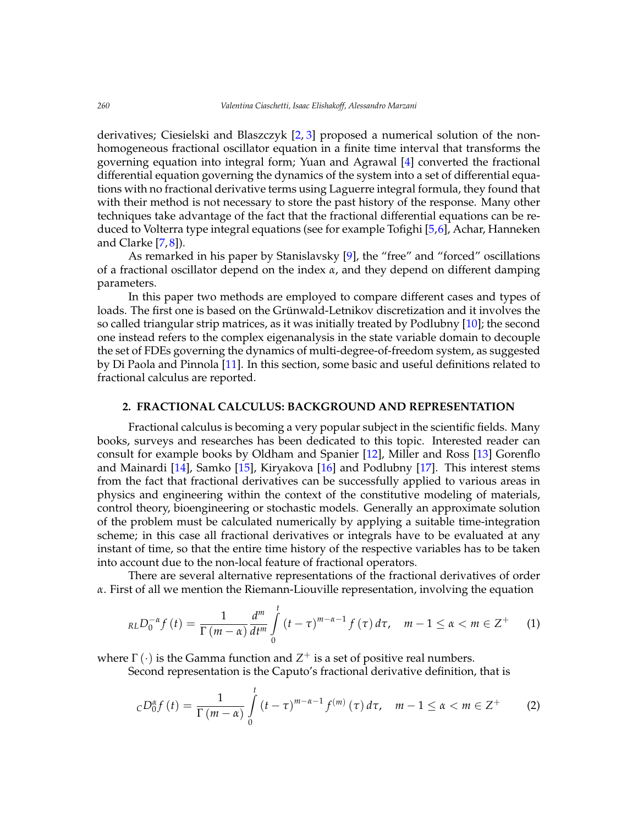derivatives; Ciesielski and Blaszczyk [\[2,](#page-13-1) [3\]](#page-13-2) proposed a numerical solution of the nonhomogeneous fractional oscillator equation in a finite time interval that transforms the governing equation into integral form; Yuan and Agrawal [\[4\]](#page-13-3) converted the fractional differential equation governing the dynamics of the system into a set of differential equations with no fractional derivative terms using Laguerre integral formula, they found that with their method is not necessary to store the past history of the response. Many other techniques take advantage of the fact that the fractional differential equations can be reduced to Volterra type integral equations (see for example Tofighi [\[5,](#page-13-4)[6\]](#page-13-5), Achar, Hanneken and Clarke [\[7,](#page-13-6) [8\]](#page-13-7)).

As remarked in his paper by Stanislavsky [\[9\]](#page-14-0), the "free" and "forced" oscillations of a fractional oscillator depend on the index *α*, and they depend on different damping parameters.

In this paper two methods are employed to compare different cases and types of loads. The first one is based on the Grünwald-Letnikov discretization and it involves the so called triangular strip matrices, as it was initially treated by Podlubny [\[10\]](#page-14-1); the second one instead refers to the complex eigenanalysis in the state variable domain to decouple the set of FDEs governing the dynamics of multi-degree-of-freedom system, as suggested by Di Paola and Pinnola [\[11\]](#page-14-2). In this section, some basic and useful definitions related to fractional calculus are reported.

#### **2. FRACTIONAL CALCULUS: BACKGROUND AND REPRESENTATION**

Fractional calculus is becoming a very popular subject in the scientific fields. Many books, surveys and researches has been dedicated to this topic. Interested reader can consult for example books by Oldham and Spanier [\[12\]](#page-14-3), Miller and Ross [\[13\]](#page-14-4) Gorenflo and Mainardi [\[14\]](#page-14-5), Samko [\[15\]](#page-14-6), Kiryakova [\[16\]](#page-14-7) and Podlubny [\[17\]](#page-14-8). This interest stems from the fact that fractional derivatives can be successfully applied to various areas in physics and engineering within the context of the constitutive modeling of materials, control theory, bioengineering or stochastic models. Generally an approximate solution of the problem must be calculated numerically by applying a suitable time-integration scheme; in this case all fractional derivatives or integrals have to be evaluated at any instant of time, so that the entire time history of the respective variables has to be taken into account due to the non-local feature of fractional operators.

There are several alternative representations of the fractional derivatives of order *α*. First of all we mention the Riemann-Liouville representation, involving the equation

$$
_{RL}D_0^{-\alpha}f(t)=\frac{1}{\Gamma(m-\alpha)}\frac{d^m}{dt^m}\int\limits_0^t\left(t-\tau\right)^{m-\alpha-1}f(\tau)\,d\tau,\quad m-1\leq\alpha
$$

where  $\Gamma \left( \cdot \right)$  is the Gamma function and  $Z^{+}$  is a set of positive real numbers.

Second representation is the Caputo's fractional derivative definition, that is

$$
cD_0^{\alpha} f(t) = \frac{1}{\Gamma(m-\alpha)} \int\limits_0^t (t-\tau)^{m-\alpha-1} f^{(m)}(\tau) d\tau, \quad m-1 \leq \alpha < m \in \mathbb{Z}^+ \tag{2}
$$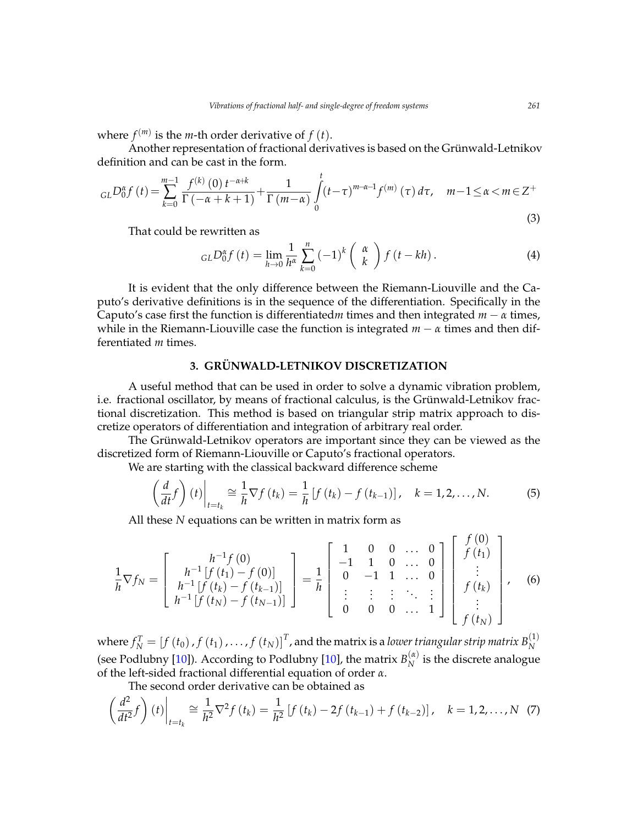where  $f^{(m)}$  is the *m*-th order derivative of  $f(t)$ .

Another representation of fractional derivatives is based on the Grünwald-Letnikov definition and can be cast in the form.

$$
_{GL}D_{0}^{\alpha}f(t) = \sum_{k=0}^{m-1} \frac{f^{(k)}(0) t^{-\alpha+k}}{\Gamma(-\alpha+k+1)} + \frac{1}{\Gamma(m-\alpha)} \int_{0}^{t} (t-\tau)^{m-\alpha-1} f^{(m)}(\tau) d\tau, \quad m-1 \le \alpha < m \in \mathbb{Z}^{+}
$$
\n(3)

That could be rewritten as

$$
GLD_0^{\alpha} f(t) = \lim_{h \to 0} \frac{1}{h^{\alpha}} \sum_{k=0}^n (-1)^k \left(\begin{array}{c} \alpha \\ k \end{array}\right) f(t - kh).
$$
 (4)

It is evident that the only difference between the Riemann-Liouville and the Caputo's derivative definitions is in the sequence of the differentiation. Specifically in the Caputo's case first the function is differentiated*m* times and then integrated  $m - \alpha$  times, while in the Riemann-Liouville case the function is integrated  $m - \alpha$  times and then differentiated *m* times.

## **3. GRUNWALD-LETNIKOV DISCRETIZATION ¨**

A useful method that can be used in order to solve a dynamic vibration problem, i.e. fractional oscillator, by means of fractional calculus, is the Grünwald-Letnikov fractional discretization. This method is based on triangular strip matrix approach to discretize operators of differentiation and integration of arbitrary real order.

The Grünwald-Letnikov operators are important since they can be viewed as the discretized form of Riemann-Liouville or Caputo's fractional operators.

We are starting with the classical backward difference scheme

$$
\left(\frac{d}{dt}f\right)(t)\bigg|_{t=t_k} \cong \frac{1}{h}\nabla f\left(t_k\right) = \frac{1}{h}\left[f\left(t_k\right) - f\left(t_{k-1}\right)\right], \quad k = 1, 2, \dots, N. \tag{5}
$$

All these *N* equations can be written in matrix form as

$$
\frac{1}{h}\nabla f_N = \begin{bmatrix} h^{-1}f(0) \\ h^{-1}[f(t_1) - f(0)] \\ h^{-1}[f(t_N) - f(t_{N-1})] \\ h^{-1}[f(t_N) - f(t_{N-1})] \end{bmatrix} = \frac{1}{h} \begin{bmatrix} 1 & 0 & 0 & \dots & 0 \\ -1 & 1 & 0 & \dots & 0 \\ 0 & -1 & 1 & \dots & 0 \\ \vdots & \vdots & \vdots & \ddots & \vdots \\ 0 & 0 & 0 & \dots & 1 \end{bmatrix} \begin{bmatrix} f(0) \\ f(t_1) \\ \vdots \\ f(t_N) \end{bmatrix}, \quad (6)
$$

where  $f_N^T = \left[f\left(t_0\right), f\left(t_1\right), \ldots, f\left(t_N\right)\right]^T$ , and the matrix is a *lower triangular strip matrix*  $B_N^{(1)}$ *N* (see Podlubny [\[10\]](#page-14-1)). According to Podlubny [10], the matrix  $B_N^{(\alpha)}$  $N^{(u)}$  is the discrete analogue of the left-sided fractional differential equation of order *α*.

The second order derivative can be obtained as

<span id="page-2-0"></span>
$$
\left(\frac{d^2}{dt^2}f\right)(t)\bigg|_{t=t_k} \cong \frac{1}{h^2}\nabla^2 f(t_k) = \frac{1}{h^2}\left[f(t_k) - 2f(t_{k-1}) + f(t_{k-2})\right], \quad k = 1, 2, ..., N \tag{7}
$$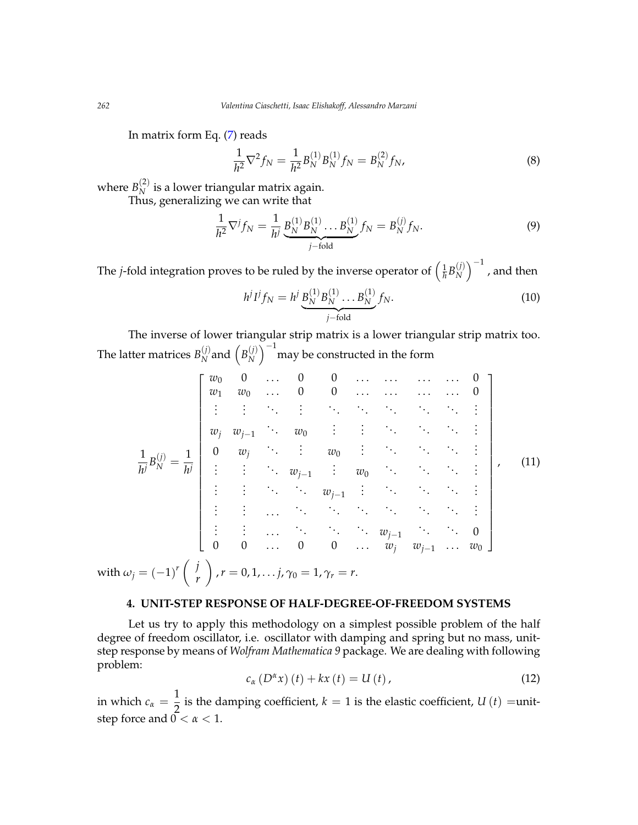In matrix form Eq. [\(7\)](#page-2-0) reads

$$
\frac{1}{h^2}\nabla^2 f_N = \frac{1}{h^2}B_N^{(1)}B_N^{(1)}f_N = B_N^{(2)}f_N,\tag{8}
$$

where  $B_N^{(2)}$  is a lower triangular matrix again.

 $\frac{D_N}{D_N}$  is a lower triangular matrix agament  $\frac{D_N}{D_N}$  and  $\frac{D_N}{D_N}$  are  $\frac{D_N}{D_N}$  and  $\frac{D_N}{D_N}$ 

$$
\frac{1}{h^2} \nabla^j f_N = \frac{1}{h^j} \underbrace{B_N^{(1)} B_N^{(1)}}_{j-\text{fold}} \dots B_N^{(1)} f_N = B_N^{(j)} f_N. \tag{9}
$$

The *j*-fold integration proves to be ruled by the inverse operator of  $\left(\frac{1}{\hbar}B_{N}^{(j)}\right)$  $\binom{(j)}{N}^{-1}$  , and then

$$
h^j I^j f_N = h^j \underbrace{B_N^{(1)} B_N^{(1)}}_{j-\text{fold}} \dots B_N^{(1)} f_N. \tag{10}
$$

The inverse of lower triangular strip matrix is a lower triangular strip matrix too. The latter matrices  $B_N^{(j)}$  $\binom{(j)}{N}$  and  $\left(B_N^{(j)}\right)$  $\binom{j}{N}^{-1}$  may be constructed in the form

$$
\frac{1}{h^j}B_N^{(j)} = \frac{1}{h^j} \begin{bmatrix} w_0 & 0 & \dots & 0 & 0 & \dots & \dots & \dots & 0 \\ w_1 & w_0 & \dots & 0 & 0 & \dots & \dots & \dots & 0 \\ \vdots & \vdots & \ddots & \vdots & \ddots & \ddots & \ddots & \vdots & \vdots \\ w_j & w_{j-1} & \dots & w_0 & \vdots & \vdots & \ddots & \ddots & \vdots \\ 0 & w_j & \ddots & \vdots & w_0 & \vdots & \ddots & \ddots & \vdots \\ \vdots & \vdots & \ddots & \ddots & w_{j-1} & \vdots & w_0 & \dots & \ddots & \vdots \\ \vdots & \vdots & \ddots & \ddots & \ddots & \ddots & \ddots & \vdots \\ \vdots & \vdots & \ddots & \ddots & \ddots & \ddots & \ddots & \vdots \\ 0 & 0 & \dots & 0 & 0 & \dots & w_{j-1} & \dots & w_0 \end{bmatrix}, \quad (11)
$$
\nwith  $\omega_j = (-1)^r \left( \begin{array}{c} j \\ r \end{array} \right)$ ,  $r = 0, 1, \dots, j$ ,  $\gamma_0 = 1$ ,  $\gamma_r = r$ .

## **4. UNIT-STEP RESPONSE OF HALF-DEGREE-OF-FREEDOM SYSTEMS**

Let us try to apply this methodology on a simplest possible problem of the half degree of freedom oscillator, i.e. oscillator with damping and spring but no mass, unitstep response by means of *Wolfram Mathematica 9* package. We are dealing with following problem:

$$
c_{\alpha} \left( D^{\alpha} x \right) (t) + kx(t) = U(t), \qquad (12)
$$

in which  $c_{\alpha}=\frac{1}{2}$  $\frac{1}{2}$  is the damping coefficient,  $k = 1$  is the elastic coefficient,  $U(t) =$ unitstep force and  $0 < \alpha < 1$ .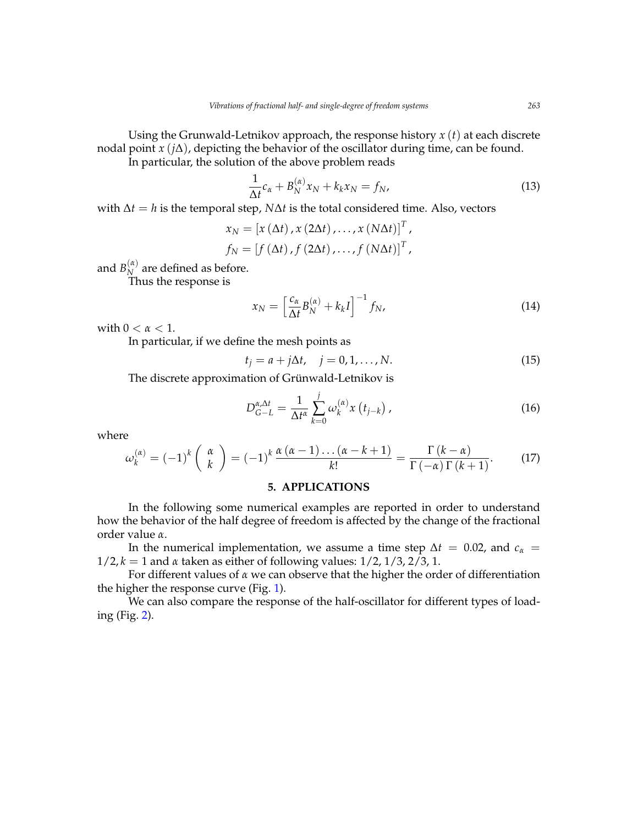Using the Grunwald-Letnikov approach, the response history *x* (*t*) at each discrete nodal point *x* (*j*∆), depicting the behavior of the oscillator during time, can be found.

In particular, the solution of the above problem reads

$$
\frac{1}{\Delta t}c_{\alpha} + B_N^{(\alpha)}x_N + k_kx_N = f_N,
$$
\n(13)

with ∆*t* = *h* is the temporal step, *N*∆*t* is the total considered time. Also, vectors

$$
x_N = [x (\Delta t), x (2\Delta t), \dots, x (N\Delta t)]^T,
$$
  

$$
f_N = [f (\Delta t), f (2\Delta t), \dots, f (N\Delta t)]^T,
$$

and  $B_N^{(\alpha)}$  $\chi_N^{(u)}$  are defined as before.

Thus the response is

$$
x_N = \left[\frac{c_\alpha}{\Delta t} B_N^{(\alpha)} + k_k I\right]^{-1} f_N,\tag{14}
$$

with  $0 < \alpha < 1$ .

In particular, if we define the mesh points as

 $t_j = a + j\Delta t$ ,  $j = 0, 1, ..., N$ . (15)

The discrete approximation of Grünwald-Letnikov is

$$
D_{G-L}^{\alpha,\Delta t} = \frac{1}{\Delta t^{\alpha}} \sum_{k=0}^{j} \omega_k^{(\alpha)} x(t_{j-k}), \qquad (16)
$$

where

$$
\omega_k^{(\alpha)} = (-1)^k \left(\begin{array}{c} \alpha \\ k \end{array}\right) = (-1)^k \frac{\alpha (\alpha - 1) \dots (\alpha - k + 1)}{k!} = \frac{\Gamma (k - \alpha)}{\Gamma (-\alpha) \Gamma (k + 1)}.
$$
 (17)

## **5. APPLICATIONS**

In the following some numerical examples are reported in order to understand how the behavior of the half degree of freedom is affected by the change of the fractional order value *α*.

In the numerical implementation, we assume a time step  $\Delta t = 0.02$ , and  $c_{\alpha} =$ 1/2, *k* = 1 and *α* taken as either of following values: 1/2, 1/3, 2/3, 1.

For different values of *α* we can observe that the higher the order of differentiation the higher the response curve (Fig. [1\)](#page-5-0).

We can also compare the response of the half-oscillator for different types of loading (Fig. [2\)](#page-5-1).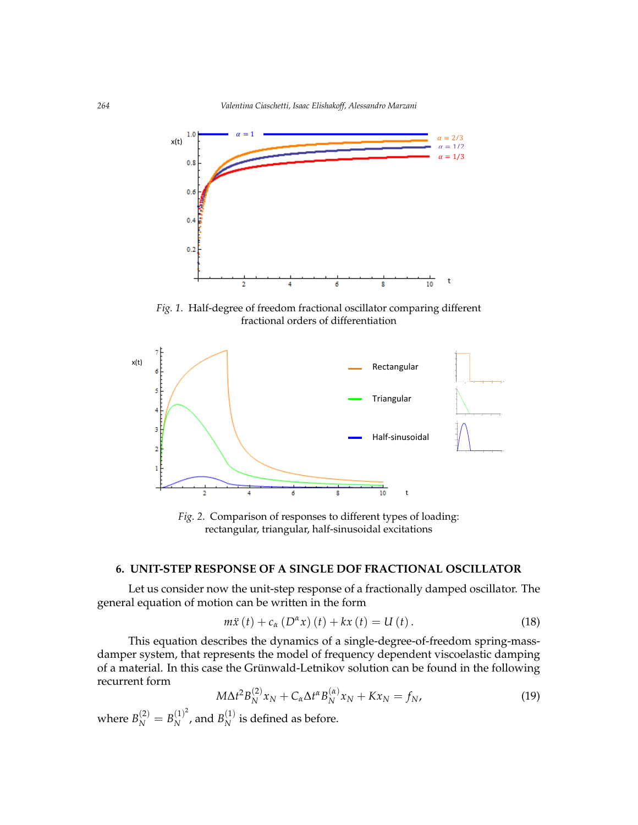<span id="page-5-0"></span>

Fig.1 Half-degree of freedom fractional oscillator comparing different fractional orders of differentiation *Fig. 1*. Half-degree of freedom fractional oscillator comparing different fractional orders of differentiation

<span id="page-5-1"></span>

*Fig. 2.* Comparison of responses to different types of loading: rectangular, triangular, half-sinusoidal excitations

## **6. UNIT-STEP RESPONSE OF A SINGLE DOF FRACTIONAL OSCILLATOR**

Let us consider now the unit-step response of a fractionally damped oscillator. The general equation of motion can be written in the form

$$
m\ddot{x}(t) + c_{\alpha} (D^{\alpha}x)(t) + kx(t) = U(t).
$$
 (18)

This equation describes the dynamics of a single-degree-of-freedom spring-massof a material. In this case the Grünwald-Letnikov solution can be found in the following<br>recurrent form damper system, that represents the model of frequency dependent viscoelastic damping recurrent form

$$
M\Delta t^2 B_N^{(2)} x_N + C_\alpha \Delta t^\alpha B_N^{(\alpha)} x_N + K x_N = f_N,\tag{19}
$$

 $T^{(2)}$   $T^{(1)^2}$   $T^{(1)}$   $T^{(1)}$   $T^{(1)}$   $T^{(1)}$   $T^{(1)}$   $T^{(1)}$ where  $B_N^{(2)} = B_N^{(1)^2}$  $\binom{(1)^2}{N}$ , and  $B_N^{(1)}$  $N^{(1)}$  is defined as before.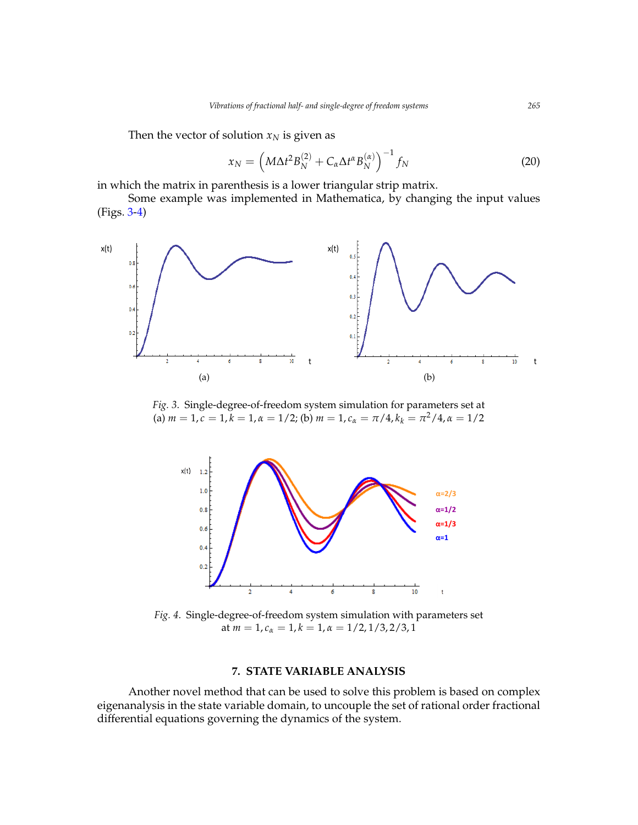Then the vector of solution  $x_N$  is given as

$$
x_N = \left(M\Delta t^2 B_N^{(2)} + C_\alpha \Delta t^\alpha B_N^{(\alpha)}\right)^{-1} f_N \tag{20}
$$

in which the matrix in parenthesis is a lower triangular strip matrix.

Some example was implemented in Mathematica, by changing the input values (Figs. [3-](#page-6-0)[4\)](#page-6-1)  $\overline{\phantom{a}}$ a) b)

<span id="page-6-0"></span>

<span id="page-6-1"></span>Fig. 3. Single-degree-of-freedom system simulation for parameters set at (a)  $m = 1, c = 1, k = 1, \alpha = 1/2$ ; (b)  $m = 1, c_{\alpha} = \pi/4, k_{k} = \pi^2/4, \alpha = 1/2$ 



 $F: A \otimes 1, 1 \otimes 1, 2 \otimes 2, 3 \otimes 3, 3 \otimes 4, 4 \otimes 5, 5 \otimes 6, 6 \otimes 7, 7 \otimes 8, 7 \otimes 8, 7 \otimes 9, 7 \otimes 1, 7 \otimes 1, 7 \otimes 1, 7 \otimes 1, 7 \otimes 1, 7 \otimes 1, 7 \otimes 1, 7 \otimes 1, 7 \otimes 1, 7 \otimes 1, 7 \otimes 1, 7 \otimes 1, 7 \otimes 1, 7 \otimes 1, 7 \otimes 1, 7 \otimes 1, 7 \$ Fig. 4. Single-degree-of-freedom system simulation with parameters set at *m* = 1, *c<sup>α</sup>* = 1, *k* = 1, *α* = 1/2, 1/3, 2/3, 1

## **7. STATE VARIABLE ANALYSIS**

Another novel method that can be used to solve this problem is based on complex eigenanalysis in the state variable domain, to uncouple the set of rational order fractional differential equations governing the dynamics of the system.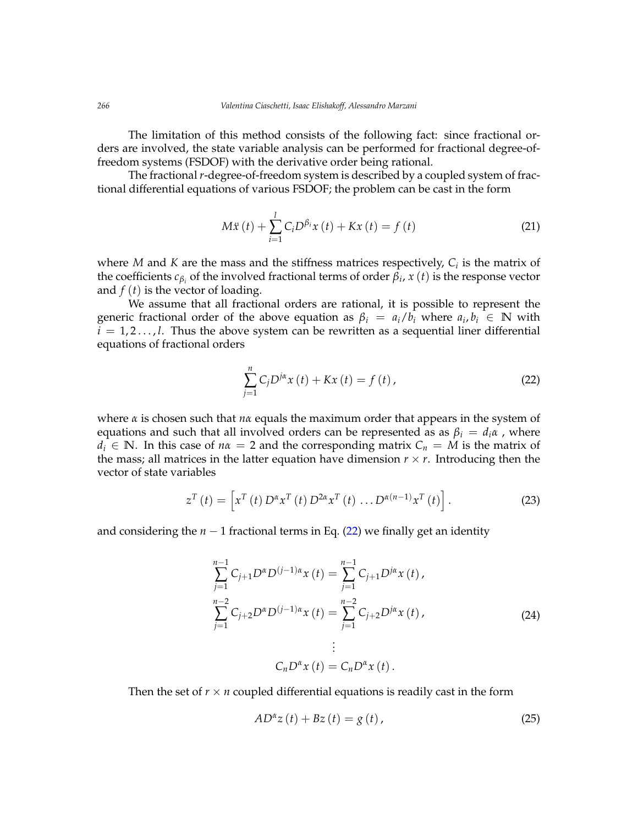The limitation of this method consists of the following fact: since fractional orders are involved, the state variable analysis can be performed for fractional degree-offreedom systems (FSDOF) with the derivative order being rational.

The fractional *r*-degree-of-freedom system is described by a coupled system of fractional differential equations of various FSDOF; the problem can be cast in the form

$$
M\ddot{x}(t) + \sum_{i=1}^{l} C_i D^{\beta_i} x(t) + Kx(t) = f(t)
$$
 (21)

where *M* and *K* are the mass and the stiffness matrices respectively, *C<sup>i</sup>* is the matrix of the coefficients  $c_{\beta_i}$  of the involved fractional terms of order  $\beta_i$ ,  $x(t)$  is the response vector and *f* (*t*) is the vector of loading.

We assume that all fractional orders are rational, it is possible to represent the generic fractional order of the above equation as  $\beta_i = a_i/b_i$  where  $a_i, b_i \in \mathbb{N}$  with  $i = 1, 2, \ldots, l$ . Thus the above system can be rewritten as a sequential liner differential equations of fractional orders

<span id="page-7-0"></span>
$$
\sum_{j=1}^{n} C_{j} D^{j\alpha} x(t) + Kx(t) = f(t),
$$
\n(22)

where *α* is chosen such that *nα* equals the maximum order that appears in the system of equations and such that all involved orders can be represented as as  $\beta_i = d_i \alpha$ , where  $d_i \in \mathbb{N}$ . In this case of  $n\alpha = 2$  and the corresponding matrix  $C_n = M$  is the matrix of the mass; all matrices in the latter equation have dimension  $r \times r$ . Introducing then the vector of state variables

$$
z^{T}\left(t\right) = \left[x^{T}\left(t\right)D^{\alpha}x^{T}\left(t\right)D^{2\alpha}x^{T}\left(t\right)\ldots D^{\alpha\left(n-1\right)}x^{T}\left(t\right)\right].
$$
 (23)

and considering the  $n - 1$  fractional terms in Eq. [\(22\)](#page-7-0) we finally get an identity

$$
\sum_{j=1}^{n-1} C_{j+1} D^{\alpha} D^{(j-1)\alpha} x(t) = \sum_{j=1}^{n-1} C_{j+1} D^{j\alpha} x(t),
$$
  
\n
$$
\sum_{j=1}^{n-2} C_{j+2} D^{\alpha} D^{(j-1)\alpha} x(t) = \sum_{j=1}^{n-2} C_{j+2} D^{j\alpha} x(t),
$$
  
\n
$$
\vdots
$$
  
\n
$$
C_n D^{\alpha} x(t) = C_n D^{\alpha} x(t).
$$
\n(24)

Then the set of  $r \times n$  coupled differential equations is readily cast in the form

<span id="page-7-1"></span>
$$
AD^{\alpha}z(t) + Bz(t) = g(t),
$$
\n(25)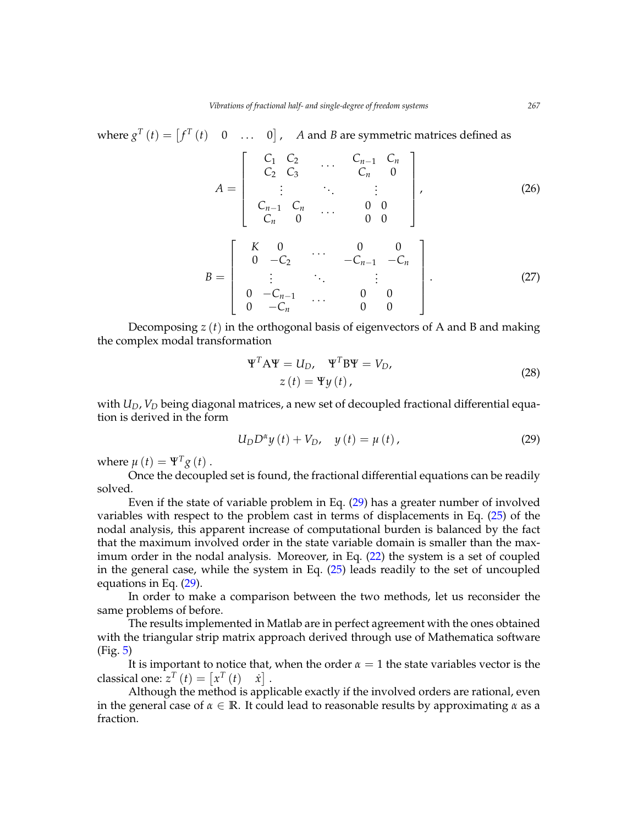where  $g^T(t) = \begin{bmatrix} f^T(t) & 0 & \dots & 0 \end{bmatrix}$ , *A* and *B* are symmetric matrices defined as

$$
A = \begin{bmatrix} C_1 & C_2 & \dots & C_{n-1} & C_n \\ C_2 & C_3 & & C_n & 0 \\ \vdots & \ddots & \vdots & \vdots \\ C_{n-1} & C_n & & 0 & 0 \\ C_n & 0 & & 0 & 0 \end{bmatrix}
$$
 (26)  

$$
B = \begin{bmatrix} K & 0 & \dots & 0 & 0 \\ 0 & -C_2 & & -C_{n-1} & -C_n \\ \vdots & \vdots & \ddots & \vdots \\ 0 & -C_{n-1} & \dots & 0 & 0 \\ 0 & -C_n & & 0 & 0 \end{bmatrix}
$$
 (27)

Decomposing  $z(t)$  in the orthogonal basis of eigenvectors of A and B and making the complex modal transformation

$$
\Psi^{T} A \Psi = U_{D}, \quad \Psi^{T} B \Psi = V_{D},
$$
  
\n
$$
z(t) = \Psi y(t),
$$
\n(28)

with *UD*, *V<sup>D</sup>* being diagonal matrices, a new set of decoupled fractional differential equation is derived in the form

<span id="page-8-0"></span>
$$
U_D D^{\alpha} y(t) + V_D, \quad y(t) = \mu(t), \tag{29}
$$

where  $\mu(t) = \Psi^T g(t)$ .

Once the decoupled set is found, the fractional differential equations can be readily solved.

Even if the state of variable problem in Eq. [\(29\)](#page-8-0) has a greater number of involved variables with respect to the problem cast in terms of displacements in Eq. [\(25\)](#page-7-1) of the nodal analysis, this apparent increase of computational burden is balanced by the fact that the maximum involved order in the state variable domain is smaller than the maximum order in the nodal analysis. Moreover, in Eq. [\(22\)](#page-7-0) the system is a set of coupled in the general case, while the system in Eq. [\(25\)](#page-7-1) leads readily to the set of uncoupled equations in Eq. [\(29\)](#page-8-0).

In order to make a comparison between the two methods, let us reconsider the same problems of before.

The results implemented in Matlab are in perfect agreement with the ones obtained with the triangular strip matrix approach derived through use of Mathematica software (Fig. [5\)](#page-9-0)

It is important to notice that, when the order  $\alpha = 1$  the state variables vector is the classical one:  $z^T(t) = \begin{bmatrix} x^T(t) & x \end{bmatrix}$ .

Although the method is applicable exactly if the involved orders are rational, even in the general case of  $\alpha \in \mathbb{R}$ . It could lead to reasonable results by approximating  $\alpha$  as a fraction.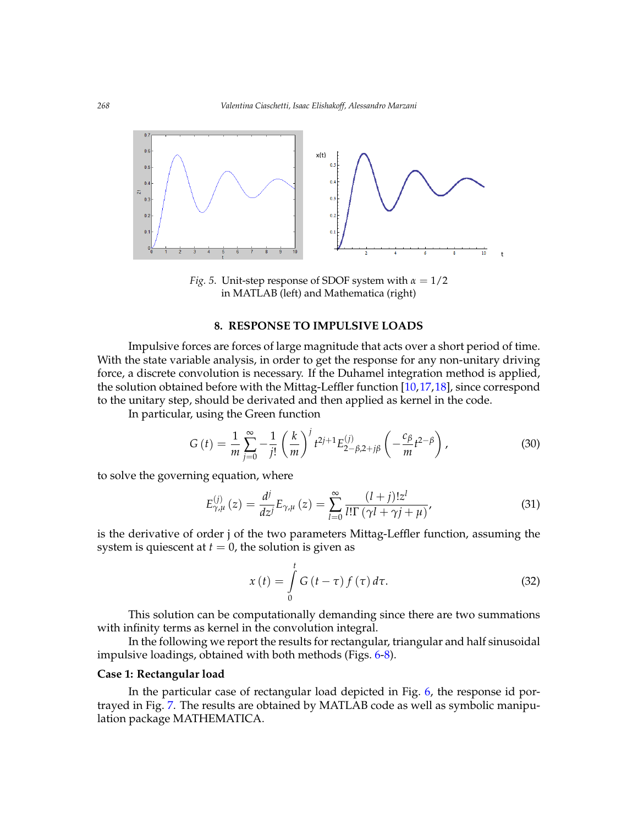<span id="page-9-0"></span>

*Fig.* 5. Unit-step response of SDOF system with  $\alpha = 1/2$ in MATLAB (left) and Mathematica (right)

#### It is important to notice that, when the order the state variables vector is the **8. RESPONSE TO IMPULSIVE LOADS**

Impulsive forces are forces of large magnitude that acts over a short period of time. force, a discrete convolution is necessary. If the Duhamel integration method is applied, case of It could lead to reasonable results by approximating as a fraction. to the unitary step, should be derivated and then applied as kernel in the code. With the state variable analysis, in order to get the response for any non-unitary driving the solution obtained before with the Mittag-Leffler function [\[10,](#page-14-1)[17,](#page-14-8)[18\]](#page-14-9), since correspond

In particular, using the Green function

$$
G(t) = \frac{1}{m} \sum_{j=0}^{\infty} -\frac{1}{j!} \left(\frac{k}{m}\right)^j t^{2j+1} E_{2-\beta,2+j\beta}^{(j)} \left(-\frac{c_{\beta}}{m} t^{2-\beta}\right),
$$
(30)

to solve the governing equation, where

$$
E_{\gamma,\mu}^{(j)}\left(z\right) = \frac{d^j}{dz^j} E_{\gamma,\mu}\left(z\right) = \sum_{l=0}^{\infty} \frac{(l+j)! z^l}{l! \Gamma\left(\gamma l + \gamma j + \mu\right)},\tag{31}
$$

 $\frac{1}{2}$  are derivative of order  $f$  of the two parameters initially sense randelest, assume system is quiescent at  $t = 0$ , the solution is given as is the derivative of order j of the two parameters Mittag-Leffler function, assuming the

<span id="page-9-1"></span>
$$
x(t) = \int_{0}^{t} G\left(t - \tau\right) f\left(\tau\right) d\tau.
$$
 (32)

with infinity terms as kernel in the convolution integral. ( ) This solution can be computationally demanding since there are two summations

ntinity terms as kernel in the convolution integral.<br>In the following we report the results for rectangular, triangular and half sinusoidal impulsive loadings, obtained with both methods (Figs. [6](#page-10-0)[-8\)](#page-10-1).

#### **Case 1: Rectangular load**

In the particular case of rectangular load depicted in Fig. [6,](#page-10-0) the response id portrayed in Fig. [7.](#page-10-2) The results are obtained by MATLAB code as well as symbolic manipulation package MATHEMATICA.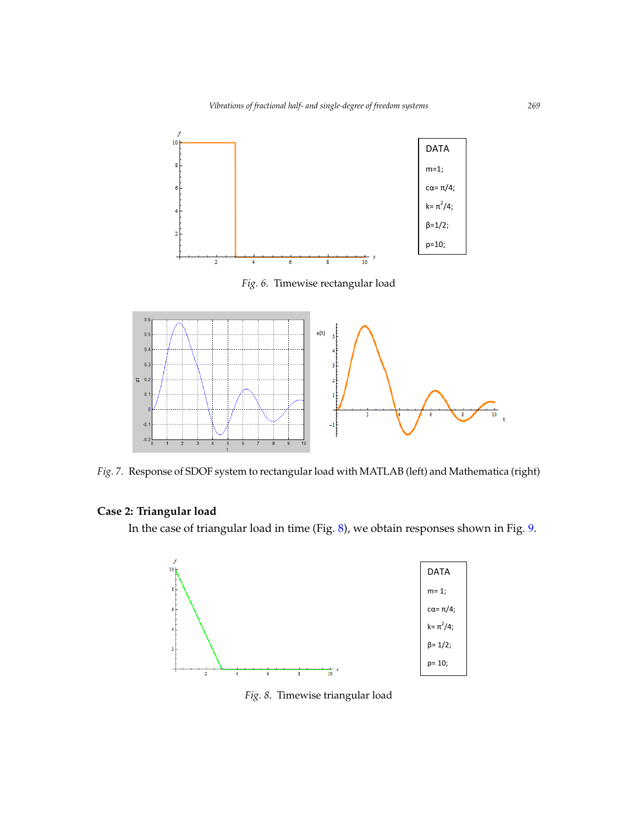<span id="page-10-0"></span>

*Fig. 6*. Timewise rectangular load

<span id="page-10-2"></span>

Fig.7: Response of SDOF system to rectangular load with MATLAB (left) and Mathematica (right) *Fig. 7*. Response of SDOF system to rectangular load with MATLAB (left) and Mathematica (right)

## **Case 2: Triangular load**

<span id="page-10-1"></span>In the case of triangular load in time (Fig. [8\)](#page-10-1)*,* we obtain responses shown in Fig. [9.](#page-11-0)



*Fig. 8*. Timewise triangular load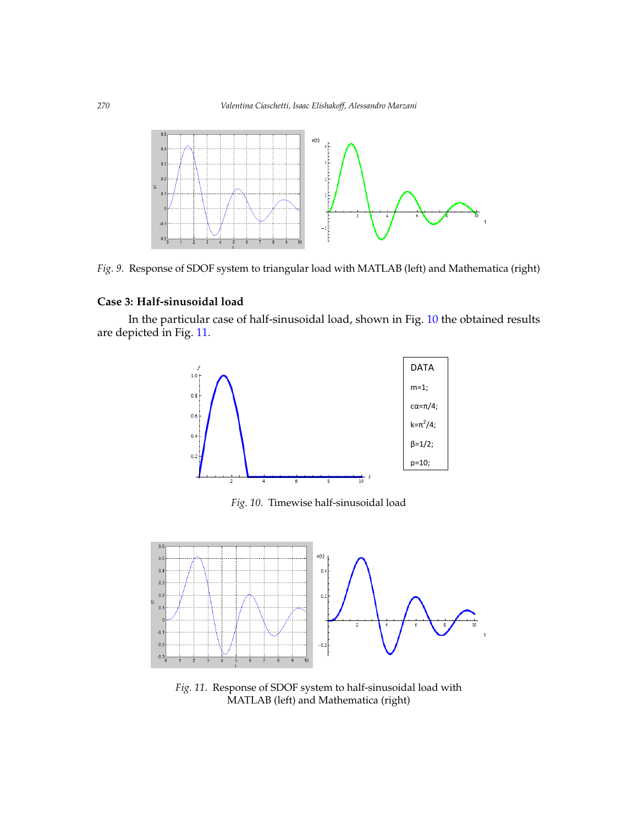<span id="page-11-0"></span>

Fig.9: Response of SDOF system to triangular load with MATLAB (left) and Mathematica (right) *Fig. 9*. Response of SDOF system to triangular load with MATLAB (left) and Mathematica (right)

## **Case 3: Half-sinusoidal load**

<span id="page-11-1"></span>In the particular case of half-sinusoidal load, shown in Fig. [10](#page-11-1) the obtained results are depicted in Fig. [11.](#page-11-2)  $\sim$  11



Fig. 10. Timewise half-sinusoidal load

<span id="page-11-2"></span>

*Fig. 11*. Response of SDOF system to half-sinusoidal load with MATLAB (left) and Mathematica (right)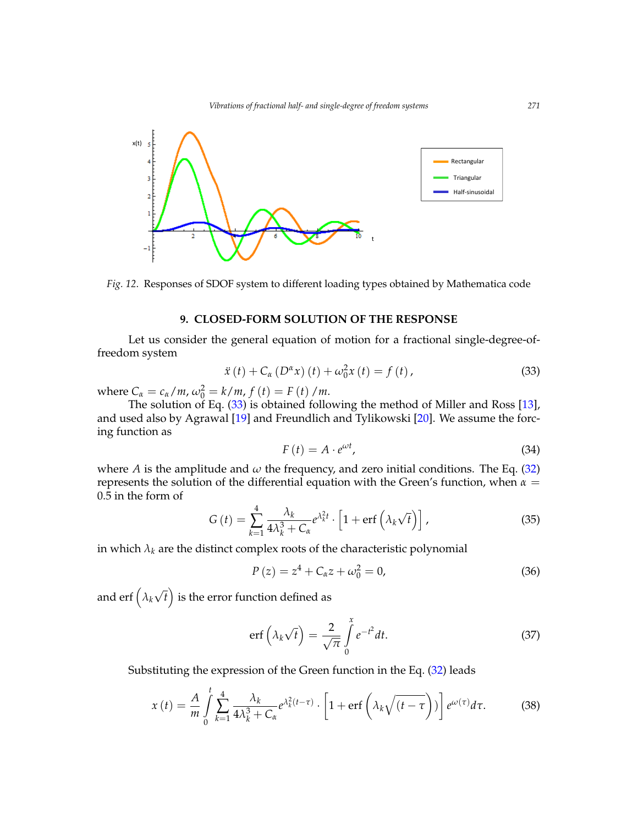

*Fig. 12*. Responses of SDOF system to different loading types obtained by Mathematica code

#### **9. CLOSED-FORM SOLUTION OF THE RESPONSE**

Let us consider the general equation of motion for a fractional single-degree-offreedom system

<span id="page-12-0"></span>
$$
\ddot{x}(t) + C_{\alpha} \left( D^{\alpha} x \right) (t) + \omega_0^2 x(t) = f(t), \qquad (33)
$$

where  $C_{\alpha} = c_{\alpha}/m$ ,  $\omega_0^2 = k/m$ ,  $f(t) = F(t)/m$ .

The solution of Eq. [\(33\)](#page-12-0) is obtained following the method of Miller and Ross [\[13\]](#page-14-4), and used also by Agrawal [\[19\]](#page-14-10) and Freundlich and Tylikowski [\[20\]](#page-14-11). We assume the forcing function as

$$
F(t) = A \cdot e^{\omega t},\tag{34}
$$

where *A* is the amplitude and  $\omega$  the frequency, and zero initial conditions. The Eq. [\(32\)](#page-9-1) represents the solution of the differential equation with the Green's function, when  $\alpha =$ 0.5 in the form of

$$
G\left(t\right) = \sum_{k=1}^{4} \frac{\lambda_k}{4\lambda_k^3 + C_\alpha} e^{\lambda_k^2 t} \cdot \left[1 + \text{erf}\left(\lambda_k \sqrt{t}\right)\right],\tag{35}
$$

in which  $\lambda_k$  are the distinct complex roots of the characteristic polynomial

$$
P(z) = z4 + C\alphaz + \omega_02 = 0,
$$
 (36)

and  $\text{erf}\left(\lambda_{k}\right)$ √  $\overline{t}$  ) is the error function defined as

$$
\operatorname{erf}\left(\lambda_{k}\sqrt{t}\right) = \frac{2}{\sqrt{\pi}}\int_{0}^{x}e^{-t^{2}}dt.
$$
\n(37)

Substituting the expression of the Green function in the Eq. [\(32\)](#page-9-1) leads

<span id="page-12-1"></span>
$$
x(t) = \frac{A}{m} \int_{0}^{t} \sum_{k=1}^{4} \frac{\lambda_k}{4\lambda_k^3 + C_\alpha} e^{\lambda_k^2(t-\tau)} \cdot \left[1 + \text{erf}\left(\lambda_k \sqrt{(t-\tau)}\right)\right] e^{\omega(\tau)} d\tau. \tag{38}
$$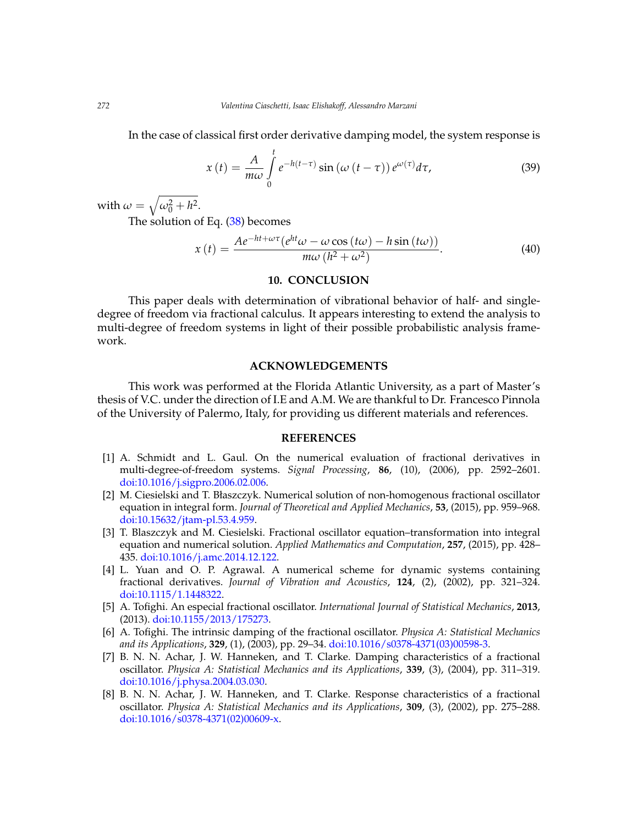In the case of classical first order derivative damping model, the system response is

$$
x(t) = \frac{A}{m\omega} \int_{0}^{t} e^{-h(t-\tau)} \sin\left(\omega\left(t-\tau\right)\right) e^{\omega(\tau)} d\tau,
$$
 (39)

with  $\omega = \sqrt{\omega_0^2 + h^2}$ .

The solution of Eq. [\(38\)](#page-12-1) becomes

$$
x(t) = \frac{Ae^{-ht + \omega \tau} (e^{ht} \omega - \omega \cos (t\omega) - h \sin (t\omega))}{m\omega (h^2 + \omega^2)}.
$$
 (40)

### **10. CONCLUSION**

This paper deals with determination of vibrational behavior of half- and singledegree of freedom via fractional calculus. It appears interesting to extend the analysis to multi-degree of freedom systems in light of their possible probabilistic analysis framework.

#### **ACKNOWLEDGEMENTS**

This work was performed at the Florida Atlantic University, as a part of Master's thesis of V.C. under the direction of I.E and A.M. We are thankful to Dr. Francesco Pinnola of the University of Palermo, Italy, for providing us different materials and references.

#### **REFERENCES**

- <span id="page-13-0"></span>[1] A. Schmidt and L. Gaul. On the numerical evaluation of fractional derivatives in multi-degree-of-freedom systems. *Signal Processing*, **86**, (10), (2006), pp. 2592–2601. [doi:10.1016/j.sigpro.2006.02.006.](http://dx.doi.org/10.1016/j.sigpro.2006.02.006)
- <span id="page-13-1"></span>[2] M. Ciesielski and T. Błaszczyk. Numerical solution of non-homogenous fractional oscillator equation in integral form. *Journal of Theoretical and Applied Mechanics*, **53**, (2015), pp. 959–968. [doi:10.15632/jtam-pl.53.4.959.](http://dx.doi.org/10.15632/jtam-pl.53.4.959)
- <span id="page-13-2"></span>[3] T. Blaszczyk and M. Ciesielski. Fractional oscillator equation–transformation into integral equation and numerical solution. *Applied Mathematics and Computation*, **257**, (2015), pp. 428– 435. [doi:10.1016/j.amc.2014.12.122.](http://dx.doi.org/10.1016/j.amc.2014.12.122)
- <span id="page-13-3"></span>[4] L. Yuan and O. P. Agrawal. A numerical scheme for dynamic systems containing fractional derivatives. *Journal of Vibration and Acoustics*, **124**, (2), (2002), pp. 321–324. [doi:10.1115/1.1448322.](http://dx.doi.org/10.1115/1.1448322)
- <span id="page-13-4"></span>[5] A. Tofighi. An especial fractional oscillator. *International Journal of Statistical Mechanics*, **2013**, (2013). [doi:10.1155/2013/175273.](http://dx.doi.org/10.1155/2013/175273)
- <span id="page-13-5"></span>[6] A. Tofighi. The intrinsic damping of the fractional oscillator. *Physica A: Statistical Mechanics and its Applications*, **329**, (1), (2003), pp. 29–34. [doi:10.1016/s0378-4371\(03\)00598-3.](http://dx.doi.org/10.1016/s0378-4371(03)00598-3)
- <span id="page-13-6"></span>[7] B. N. N. Achar, J. W. Hanneken, and T. Clarke. Damping characteristics of a fractional oscillator. *Physica A: Statistical Mechanics and its Applications*, **339**, (3), (2004), pp. 311–319. [doi:10.1016/j.physa.2004.03.030.](http://dx.doi.org/10.1016/j.physa.2004.03.030)
- <span id="page-13-7"></span>[8] B. N. N. Achar, J. W. Hanneken, and T. Clarke. Response characteristics of a fractional oscillator. *Physica A: Statistical Mechanics and its Applications*, **309**, (3), (2002), pp. 275–288. [doi:10.1016/s0378-4371\(02\)00609-x.](http://dx.doi.org/10.1016/s0378-4371(02)00609-x)